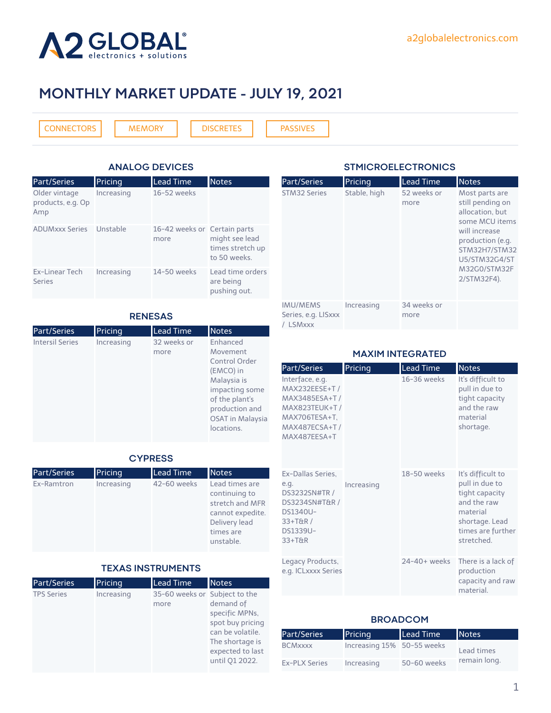

## **MONTHLY MARKET UPDATE - JULY 19, 2021**

[CONNECTORS](#page-1-0) [MEMORY](#page-2-0) | [DISCRETES](#page-2-0) | [PASSIVES](#page-3-0)

| <b>ANALOG DEVICES</b>                     |            |                                      |                                                    |  |
|-------------------------------------------|------------|--------------------------------------|----------------------------------------------------|--|
| Part/Series                               | Pricing    | <b>Lead Time</b>                     | <b>Notes</b>                                       |  |
| Older vintage<br>products, e.g. Op<br>Amp | Increasing | 16-52 weeks                          |                                                    |  |
| <b>ADUMxxx Series</b>                     | Unstable   | 16-42 weeks or Certain parts<br>more | might see lead<br>times stretch up<br>to 50 weeks. |  |
| Ex-Linear Tech<br><b>Series</b>           | Increasing | 14-50 weeks                          | Lead time orders<br>are being<br>pushing out.      |  |

### **RENESAS**

| Part/Series            | Pricing    | <b>Lead Time</b>    | <b>Notes</b>                                                                                                                                                     |
|------------------------|------------|---------------------|------------------------------------------------------------------------------------------------------------------------------------------------------------------|
| <b>Intersil Series</b> | Increasing | 32 weeks or<br>more | Enhanced<br>Movement<br>Control Order<br>(EMCO) in<br>Malaysia is<br>impacting some<br>of the plant's<br>production and<br><b>OSAT</b> in Malaysia<br>locations. |

### **CYPRESS**

| <b>Part/Series</b> | Pricing    | <b>Lead Time</b> | <b>Notes</b>                                                                                                      |
|--------------------|------------|------------------|-------------------------------------------------------------------------------------------------------------------|
| Ex-Ramtron         | Increasing | 42-60 weeks      | Lead times are<br>continuing to<br>stretch and MFR<br>cannot expedite.<br>Delivery lead<br>times are<br>unstable. |

#### **TEXAS INSTRUMENTS**

| <b>Pricing</b> | <b>Lead Time</b> | <b>Notes</b>                                                                                                                 |
|----------------|------------------|------------------------------------------------------------------------------------------------------------------------------|
| Increasing     | more             | demand of<br>specific MPNs,<br>spot buy pricing<br>can be volatile.<br>The shortage is<br>expected to last<br>until Q1 2022. |
|                |                  | 35-60 weeks or Subject to the                                                                                                |

### **STMICROELECTRONICS**

| <b>Part/Series</b>                                      | Pricing      | <b>Lead Time</b>    | <b>Notes</b>                                                                                                                                                                  |
|---------------------------------------------------------|--------------|---------------------|-------------------------------------------------------------------------------------------------------------------------------------------------------------------------------|
| <b>STM32 Series</b>                                     | Stable, high | 52 weeks or<br>more | Most parts are<br>still pending on<br>allocation, but<br>some MCU items<br>will increase<br>production (e.g.<br>STM32H7/STM32<br>U5/STM32G4/ST<br>M32G0/STM32F<br>2/STM32F4). |
| <b>IMU/MEMS</b><br>Series, e.g. LISxxx<br><b>LSMxxx</b> | Increasing   | 34 weeks or<br>more |                                                                                                                                                                               |

### **MAXIM INTEGRATED**

| Part/Series                                                                                                                  | Pricing    | <b>Lead Time</b> | <b>Notes</b>                                                                                                                          |
|------------------------------------------------------------------------------------------------------------------------------|------------|------------------|---------------------------------------------------------------------------------------------------------------------------------------|
| Interface, e.g.<br>MAX232EESE+T /<br>MAX3485ESA+T/<br><b>MAX823TEUK+T/</b><br>MAX706TESA+T,<br>MAX487ECSA+T/<br>MAX487FFSA+T |            | 16-36 weeks      | It's difficult to<br>pull in due to<br>tight capacity<br>and the raw<br>material<br>shortage.                                         |
| Ex-Dallas Series,<br>e.g.<br>DS3232SN#TR /<br>DS3234SN#T&R /<br><b>DS1340U-</b><br>$33+TAR/$<br>DS1339U-<br>$33+TAR$         | Increasing | 18-50 weeks      | It's difficult to<br>pull in due to<br>tight capacity<br>and the raw<br>material<br>shortage. Lead<br>times are further<br>stretched. |
| Legacy Products,<br>e.g. ICLxxxx Series                                                                                      |            | 24-40+ weeks     | There is a lack of<br>production<br>capacity and raw<br>material.                                                                     |

### **BROADCOM**

| Part/Series    | Pricing                    | Lead Time   | <b>Notes</b> |
|----------------|----------------------------|-------------|--------------|
| <b>BCMxxxx</b> | Increasing 15% 50-55 weeks |             | Lead times   |
| Ex-PLX Series  | Increasing                 | 50-60 weeks | remain long. |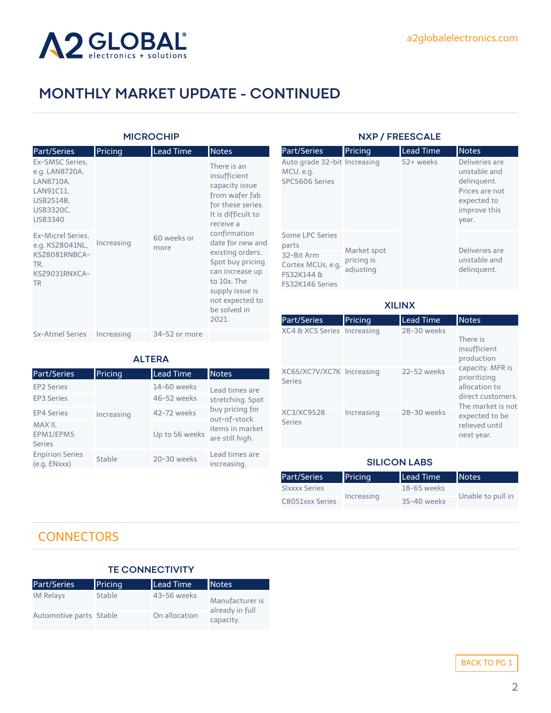<span id="page-1-0"></span>

### **MICROCHIP**

| <b>Part/Series</b>                                                                                      | Pricing    | <b>Lead Time</b>    | <b>Notes</b>                                                                                                                                                              |
|---------------------------------------------------------------------------------------------------------|------------|---------------------|---------------------------------------------------------------------------------------------------------------------------------------------------------------------------|
| Ex-SMSC Series.<br>e.g. LAN8720A,<br>LAN8710A,<br>LAN91C11.<br>USB2514B,<br>USB3320C,<br><b>USB3340</b> |            |                     | There is an<br>insufficient<br>capacity issue<br>from wafer fab<br>for these series.<br>It is difficult to<br>receive a                                                   |
| Ex-Micrel Series.<br>e.g. KSZ8041NL,<br>KSZ8081RNBCA-<br>TR.<br>KSZ9031RNXCA-<br><b>TR</b>              | Increasing | 60 weeks or<br>more | confirmation<br>date for new and<br>existing orders.<br>Spot buy pricing<br>can increase up<br>to 10x. The<br>supply issue is<br>not expected to<br>be solved in<br>2021. |
| <b>Sx-Atmel Series</b>                                                                                  | Increasing | 34-52 or more       |                                                                                                                                                                           |

Part/Series Pricing Lead Time Notes

**ALTERA**

Up to 56 weeks

increasing.

Lead times are stretching. Spot buy pricing for out-of-stock items in market are still high.

EP2 Series 14-60 weeks EP3 Series 46-52 weeks EP4 Series Increasing 42-72 weeks

Increasing

### **NXP / FREESCALE**

| Part/Series                                                                                  | Pricing                                | Lead Time | <b>Notes</b>                                                                                            |
|----------------------------------------------------------------------------------------------|----------------------------------------|-----------|---------------------------------------------------------------------------------------------------------|
| Auto grade 32-bit Increasing<br>MCU, e.g.<br>SPC5606 Series                                  |                                        | 52+ weeks | Deliveries are<br>unstable and<br>delinguent.<br>Prices are not<br>expected to<br>improve this<br>year. |
| Some LPC Series<br>parts<br>32-Bit Arm<br>Cortex MCUs, e.g.<br>FS32K144 &<br>FS32K146 Series | Market spot<br>pricing is<br>adjusting |           | Deliveries are<br>unstable and<br>delinguent.                                                           |

### **XILINX**

| Part/Series                                | Pricing    | <b>Lead Time</b> | <b>Notes</b>                                                                                                                                  |
|--------------------------------------------|------------|------------------|-----------------------------------------------------------------------------------------------------------------------------------------------|
| XC4 & XC5 Series Increasing                |            | 28-30 weeks      | There is<br>insufficient<br>production                                                                                                        |
| XC6S/XC7V/XC7K Increasing<br><b>Series</b> |            | 22-52 weeks      | capacity. MFR is<br>prioritizing<br>allocation to<br>direct customers.<br>The market is not<br>expected to be<br>relieved until<br>next year. |
| XC3/XC9528<br>Series                       | Increasing | 28-30 weeks      |                                                                                                                                               |

### **SILICON LABS**

| Part/Series          | Pricing    | Lead Time     | <b>Notes</b>      |
|----------------------|------------|---------------|-------------------|
| <b>Slxxxx Series</b> | Increasing | $18-65$ weeks | Unable to pull in |
| C8051xxx Series      |            | 35-40 weeks   |                   |

### **CONNECTORS**

MAX II, EPM1/EPM5 Series

### **TE CONNECTIVITY**

Enpirion Series (e.g. ENxxx) Stable 20-30 weeks Lead times are

| Part/Series             | Pricing | <b>Lead Time</b> | <b>Notes</b>                 |
|-------------------------|---------|------------------|------------------------------|
| <b>IM Relays</b>        | Stable  | 43-56 weeks      | Manufacturer is              |
| Automotive parts Stable |         | On allocation    | already in full<br>capacity. |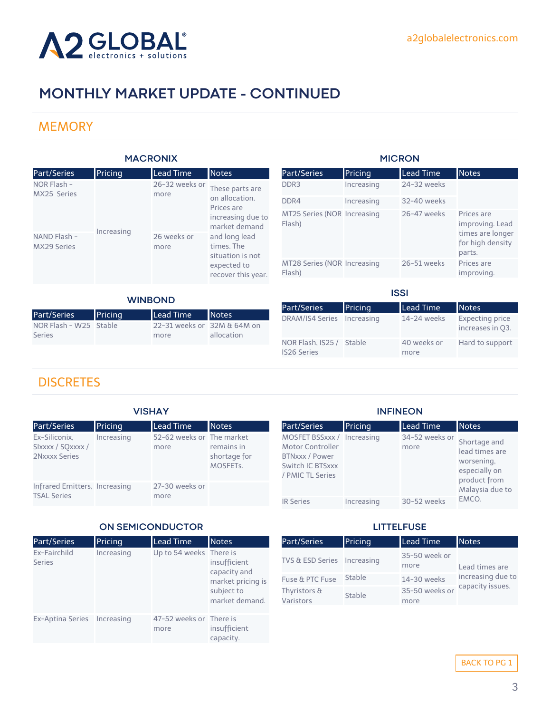<span id="page-2-0"></span>

### **MEMORY**

| <b>MACRONIX</b>                           |                                                                        |                                    | <b>MICRON</b>                         |                                       |                                                |                               |                                            |
|-------------------------------------------|------------------------------------------------------------------------|------------------------------------|---------------------------------------|---------------------------------------|------------------------------------------------|-------------------------------|--------------------------------------------|
| Part/Series                               | Pricing                                                                | Lead Time                          | <b>Notes</b>                          | Part/Series                           | Pricing                                        | <b>Lead Time</b>              | <b>Notes</b>                               |
| NOR Flash -<br>MX25 Series                |                                                                        | 26-32 weeks or<br>more             | These parts are                       | DDR <sub>3</sub>                      | Increasing                                     | 24-32 weeks                   |                                            |
|                                           |                                                                        |                                    | on allocation.<br>Prices are          | DDR4                                  | Increasing                                     | 32-40 weeks                   |                                            |
|                                           |                                                                        | increasing due to<br>market demand | MT25 Series (NOR Increasing<br>Flash) |                                       | 26-47 weeks                                    | Prices are<br>improving. Lead |                                            |
| Increasing<br>NAND Flash -<br>MX29 Series | 26 weeks or<br>and long lead<br>times. The<br>more<br>situation is not |                                    |                                       |                                       | times are longer<br>for high density<br>parts. |                               |                                            |
|                                           |                                                                        | expected to<br>recover this year.  |                                       | MT28 Series (NOR Increasing<br>Flash) |                                                | 26-51 weeks                   | Prices are<br>improving.                   |
|                                           |                                                                        |                                    |                                       |                                       |                                                |                               |                                            |
| <b>WINBOND</b>                            |                                                                        |                                    |                                       |                                       | <b>ISSI</b>                                    |                               |                                            |
|                                           |                                                                        |                                    |                                       | Part/Series                           | Pricing                                        | Lead Time                     | <b>Notes</b>                               |
| Part/Series<br>NOR Flash - W25            | Pricing<br>Stable                                                      | Lead Time<br>22-31 weeks or        | <b>Notes</b><br>32M & 64M on          | <b>DRAM/IS4 Series</b>                | Increasing                                     | 14-24 weeks                   | <b>Expecting price</b><br>increases in Q3. |

NOR Flash, IS25 / IS26 Series

### **DISCRETES**

Series

| <b>VISHAY</b>                                       |            |                                   | <b>INFINEON</b>                                     |                                                                                                          |            |                        |                                                                               |
|-----------------------------------------------------|------------|-----------------------------------|-----------------------------------------------------|----------------------------------------------------------------------------------------------------------|------------|------------------------|-------------------------------------------------------------------------------|
| Part/Series                                         | Pricing    | <b>Lead Time</b>                  | <b>Notes</b>                                        | <b>Part/Series</b>                                                                                       | Pricing    | Lead Time              | <b>Notes</b>                                                                  |
| Ex-Siliconix,<br>SIxxxx / SQxxxx /<br>2Nxxxx Series | Increasing | 52-62 weeks or The market<br>more | remains in<br>shortage for<br>MOSFET <sub>s</sub> . | MOSFET BSSxxx / Increasing<br>Motor Controller<br>BTNxxx / Power<br>Switch IC BTSxxx<br>/ PMIC TL Series |            | 34-52 weeks or<br>more | Shortage and<br>lead times are<br>worsening,<br>especially on<br>product from |
| Infrared Emitters, Increasing<br><b>TSAL Series</b> |            | 27-30 weeks or<br>more            |                                                     |                                                                                                          |            |                        | Malaysia due to                                                               |
|                                                     |            |                                   |                                                     | <b>IR Series</b>                                                                                         | Increasing | 30-52 weeks            | EMCO.                                                                         |

### **ON SEMICONDUCTOR**

more

allocation

| Part/Series                   | Pricing    | <b>Lead Time</b>                | Notes                                                                             |
|-------------------------------|------------|---------------------------------|-----------------------------------------------------------------------------------|
| Ex-Fairchild<br><b>Series</b> | Increasing | Up to 54 weeks There is         | insufficient<br>capacity and<br>market pricing is<br>subject to<br>market demand. |
| Ex-Aptina Series Increasing   |            | 47-52 weeks or There is<br>more | insufficient<br>capacity.                                                         |

### **LITTELFUSE**

40 weeks or more

Hard to support

| Part/Series                 | Pricing | <b>Lead Time</b>       | <b>Notes</b>      |
|-----------------------------|---------|------------------------|-------------------|
| TVS & ESD Series Increasing |         | 35-50 week or<br>more  | Lead times are    |
| Fuse & PTC Fuse             | Stable  | 14-30 weeks            | increasing due to |
| Thyristors &<br>Varistors   | Stable  | 35-50 weeks or<br>more | capacity issues.  |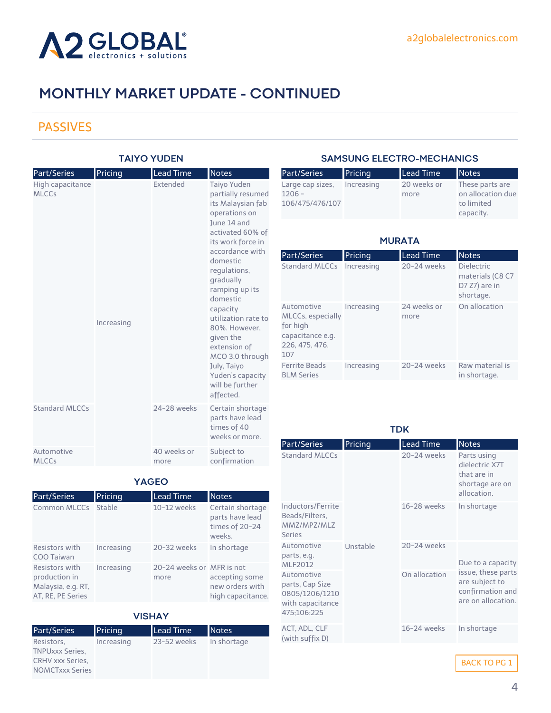<span id="page-3-0"></span>

### PASSIVES

### **TAIYO YUDEN**

| Part/Series                | Pricing    | <b>Lead Time</b>    | <b>Notes</b>                                                                                                                                                                                                                                                                                                                                                                                    |
|----------------------------|------------|---------------------|-------------------------------------------------------------------------------------------------------------------------------------------------------------------------------------------------------------------------------------------------------------------------------------------------------------------------------------------------------------------------------------------------|
| High capacitance<br>MLCCs  | Increasing | <b>Fxtended</b>     | Taiyo Yuden<br>partially resumed<br>its Malaysian fab<br>operations on<br>June 14 and<br>activated 60% of<br>its work force in<br>accordance with<br>domestic<br>requlations,<br>gradually<br>ramping up its<br>domestic<br>capacity<br>utilization rate to<br>80%. However,<br>given the<br>extension of<br>MCO 3.0 through<br>July, Taiyo<br>Yuden's capacity<br>will be further<br>affected. |
| Standard MLCCs             |            | 24-28 weeks         | Certain shortage<br>parts have lead<br>times of 40<br>weeks or more.                                                                                                                                                                                                                                                                                                                            |
| Automotive<br><b>MLCCs</b> |            | 40 weeks or<br>more | Subject to<br>confirmation                                                                                                                                                                                                                                                                                                                                                                      |

### **SAMSUNG ELECTRO-MECHANICS**

| Part/Series      | Pricing    | Lead Time   | <b>Notes</b>      |
|------------------|------------|-------------|-------------------|
| Large cap sizes, | Increasing | 20 weeks or | These parts are   |
| $1206 -$         |            | more        | on allocation due |
| 106/475/476/107  |            |             | to limited        |
|                  |            |             | capacity.         |

### **MURATA**

| Part/Series                                                                              | Pricing    | <b>Lead Time</b>    | <b>Notes</b>                                                        |
|------------------------------------------------------------------------------------------|------------|---------------------|---------------------------------------------------------------------|
| <b>Standard MLCCs</b>                                                                    | Increasing | 20-24 weeks         | <b>Dielectric</b><br>materials (C8 C7<br>D7 Z7) are in<br>shortage. |
| Automotive<br>MLCCs, especially<br>for high<br>capacitance e.g.<br>226, 475, 476,<br>107 | Increasing | 24 weeks or<br>more | On allocation                                                       |
| <b>Ferrite Beads</b><br><b>BLM Series</b>                                                | Increasing | $20-24$ weeks       | Raw material is<br>in shortage.                                     |

**TDK**

| Part/Series                                                                        | Pricing  | <b>Lead Time</b> | <b>Notes</b>                                                                   |
|------------------------------------------------------------------------------------|----------|------------------|--------------------------------------------------------------------------------|
| Standard MLCCs                                                                     | Unstable | 20-24 weeks      | Parts using<br>dielectric X7T<br>that are in<br>shortage are on<br>allocation. |
| Inductors/Ferrite<br>Beads/Filters,<br>MMZ/MPZ/MLZ<br><b>Series</b>                |          | 16-28 weeks      | In shortage                                                                    |
| Automotive<br>parts, e.g.<br>MLF2012                                               |          | 20-24 weeks      | Due to a capacity                                                              |
| Automotive<br>parts, Cap Size<br>0805/1206/1210<br>with capacitance<br>475;106;225 |          | On allocation    | issue, these parts<br>are subject to<br>confirmation and<br>are on allocation. |
| ACT, ADL, CLF<br>(with suffix D)                                                   |          | 16-24 weeks      | In shortage                                                                    |

BACK TO PG 1

| Part/Series                                                                | Pricing    | <b>Lead Time</b>                  | <b>Notes</b>                                                    |
|----------------------------------------------------------------------------|------------|-----------------------------------|-----------------------------------------------------------------|
| Common MLCCs                                                               | Stable     | 10-12 weeks                       | Certain shortage<br>parts have lead<br>times of 20-24<br>weeks. |
| Resistors with<br>COO Taiwan                                               | Increasing | 20-32 weeks                       | In shortage                                                     |
| Resistors with<br>production in<br>Malaysia, e.g. RT,<br>AT, RE, PE Series | Increasing | 20-24 weeks or MFR is not<br>more | accepting some<br>new orders with<br>high capacitance.          |

### **VISHAY**

| Part/Series             | Pricing    | <b>Lead Time</b> | <b>Notes</b> |
|-------------------------|------------|------------------|--------------|
| Resistors.              | Increasing | 23-52 weeks      | In shortage  |
| <b>TNPUxxx Series,</b>  |            |                  |              |
| <b>CRHV xxx Series,</b> |            |                  |              |
| <b>NOMCTxxx Series</b>  |            |                  |              |